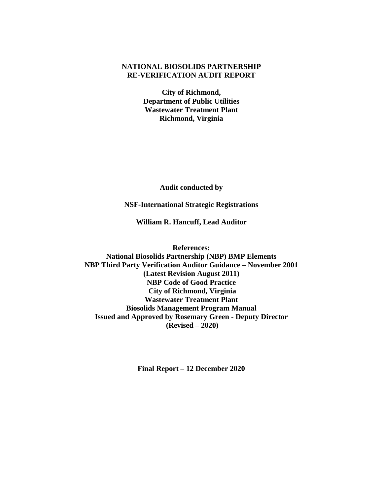# **NATIONAL BIOSOLIDS PARTNERSHIP RE-VERIFICATION AUDIT REPORT**

**City of Richmond, Department of Public Utilities Wastewater Treatment Plant Richmond, Virginia**

**Audit conducted by**

**NSF-International Strategic Registrations**

**William R. Hancuff, Lead Auditor**

**References: National Biosolids Partnership (NBP) BMP Elements NBP Third Party Verification Auditor Guidance – November 2001 (Latest Revision August 2011) NBP Code of Good Practice City of Richmond, Virginia Wastewater Treatment Plant Biosolids Management Program Manual Issued and Approved by Rosemary Green - Deputy Director (Revised – 2020)**

**Final Report – 12 December 2020**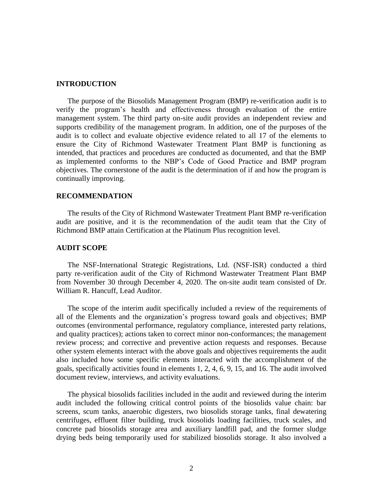#### **INTRODUCTION**

The purpose of the Biosolids Management Program (BMP) re-verification audit is to verify the program's health and effectiveness through evaluation of the entire management system. The third party on-site audit provides an independent review and supports credibility of the management program. In addition, one of the purposes of the audit is to collect and evaluate objective evidence related to all 17 of the elements to ensure the City of Richmond Wastewater Treatment Plant BMP is functioning as intended, that practices and procedures are conducted as documented, and that the BMP as implemented conforms to the NBP's Code of Good Practice and BMP program objectives. The cornerstone of the audit is the determination of if and how the program is continually improving.

#### **RECOMMENDATION**

The results of the City of Richmond Wastewater Treatment Plant BMP re-verification audit are positive, and it is the recommendation of the audit team that the City of Richmond BMP attain Certification at the Platinum Plus recognition level.

#### **AUDIT SCOPE**

The NSF-International Strategic Registrations, Ltd. (NSF-ISR) conducted a third party re-verification audit of the City of Richmond Wastewater Treatment Plant BMP from November 30 through December 4, 2020. The on-site audit team consisted of Dr. William R. Hancuff, Lead Auditor.

The scope of the interim audit specifically included a review of the requirements of all of the Elements and the organization's progress toward goals and objectives; BMP outcomes (environmental performance, regulatory compliance, interested party relations, and quality practices); actions taken to correct minor non-conformances; the management review process; and corrective and preventive action requests and responses. Because other system elements interact with the above goals and objectives requirements the audit also included how some specific elements interacted with the accomplishment of the goals, specifically activities found in elements 1, 2, 4, 6, 9, 15, and 16. The audit involved document review, interviews, and activity evaluations.

The physical biosolids facilities included in the audit and reviewed during the interim audit included the following critical control points of the biosolids value chain: bar screens, scum tanks, anaerobic digesters, two biosolids storage tanks, final dewatering centrifuges, effluent filter building, truck biosolids loading facilities, truck scales, and concrete pad biosolids storage area and auxiliary landfill pad, and the former sludge drying beds being temporarily used for stabilized biosolids storage. It also involved a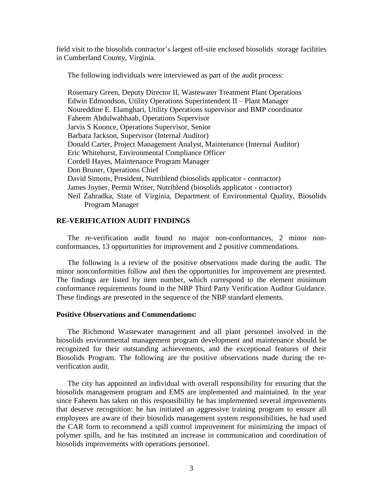field visit to the biosolids contractor's largest off-site enclosed biosolids storage facilities in Cumberland County, Virginia.

The following individuals were interviewed as part of the audit process:

Rosemary Green, Deputy Director II, Wastewater Treatment Plant Operations Edwin Edmondson, Utility Operations Superintendent II – Plant Manager Noureddine E. Elamghari, Utility Operations supervisor and BMP coordinator Faheem Abdulwahhaab, Operations Supervisor Jarvis S Koonce, Operations Supervisor, Senior Barbara Jackson, Supervisor (Internal Auditor) Donald Carter, Project Management Analyst, Maintenance (Internal Auditor) Eric Whitehurst, Environmental Compliance Officer Cordell Hayes, Maintenance Program Manager Don Bruner, Operations Chief David Simons, President, Nutriblend (biosolids applicator - contractor) James Joyner, Permit Writer, Nutriblend (biosolids applicator - contractor) Neil Zahradka, State of Virginia, Department of Environmental Quality, Biosolids Program Manager

### **RE-VERIFICATION AUDIT FINDINGS**

The re-verification audit found no major non-conformances, 2 minor nonconformances, 13 opportunities for improvement and 2 positive commendations.

The following is a review of the positive observations made during the audit. The minor nonconformities follow and then the opportunities for improvement are presented. The findings are listed by item number, which correspond to the element minimum conformance requirements found in the NBP Third Party Verification Auditor Guidance. These findings are presented in the sequence of the NBP standard elements.

# **Positive Observations and Commendations:**

The Richmond Wastewater management and all plant personnel involved in the biosolids environmental management program development and maintenance should be recognized for their outstanding achievements, and the exceptional features of their Biosolids Program. The following are the positive observations made during the reverification audit.

The city has appointed an individual with overall responsibility for ensuring that the biosolids management program and EMS are implemented and maintained. In the year since Faheem has taken on this responsibility he has implemented several improvements that deserve recognition: he has initiated an aggressive training program to ensure all employees are aware of their biosolids management system responsibilities, he had used the CAR form to recommend a spill control improvement for minimizing the impact of polymer spills, and he has instituted an increase in communication and coordination of biosolids improvements with operations personnel.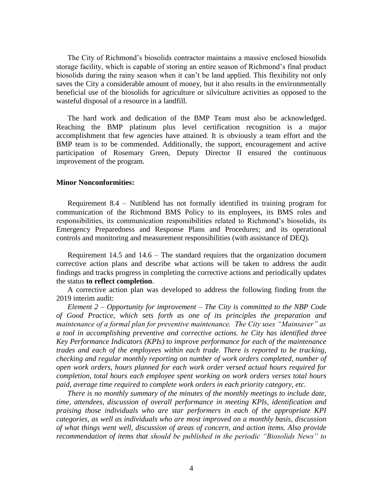The City of Richmond's biosolids contractor maintains a massive enclosed biosolids storage facility, which is capable of storing an entire season of Richmond's final product biosolids during the rainy season when it can't be land applied. This flexibility not only saves the City a considerable amount of money, but it also results in the environmentally beneficial use of the biosolids for agriculture or silviculture activities as opposed to the wasteful disposal of a resource in a landfill.

The hard work and dedication of the BMP Team must also be acknowledged. Reaching the BMP platinum plus level certification recognition is a major accomplishment that few agencies have attained. It is obviously a team effort and the BMP team is to be commended. Additionally, the support, encouragement and active participation of Rosemary Green, Deputy Director II ensured the continuous improvement of the program.

#### **Minor Nonconformities:**

Requirement 8.4 – Nutiblend has not formally identified its training program for communication of the Richmond BMS Policy to its employees, its BMS roles and responsibilities, its communication responsibilities related to Richmond's biosolids, its Emergency Preparedness and Response Plans and Procedures; and its operational controls and monitoring and measurement responsibilities (with assistance of DEQ).

Requirement 14.5 and 14.6 – The standard requires that the organization document corrective action plans and describe what actions will be taken to address the audit findings and tracks progress in completing the corrective actions and periodically updates the status **to reflect completion**.

A corrective action plan was developed to address the following finding from the 2019 interim audit:

*Element 2 – Opportunity for improvement – The City is committed to the NBP Code of Good Practice, which sets forth as one of its principles the preparation and maintenance of a formal plan for preventive maintenance. The City uses "Mainsaver" as a tool in accomplishing preventive and corrective actions. he City has identified three Key Performance Indicators (KPIs) to improve performance for each of the maintenance trades and each of the employees within each trade. There is reported to be tracking, checking and regular monthly reporting on number of work orders completed, number of open work orders, hours planned for each work order versed actual hours required for completion, total hours each employee spent working on work orders verses total hours paid, average time required to complete work orders in each priority category, etc.* 

*There is no monthly summary of the minutes of the monthly meetings to include date, time, attendees, discussion of overall performance in meeting KPIs, identification and praising those individuals who are star performers in each of the appropriate KPI categories, as well as individuals who are most improved on a monthly basis, discussion of what things went well, discussion of areas of concern, and action items. Also provide recommendation of items that should be published in the periodic "Biosolids News" to*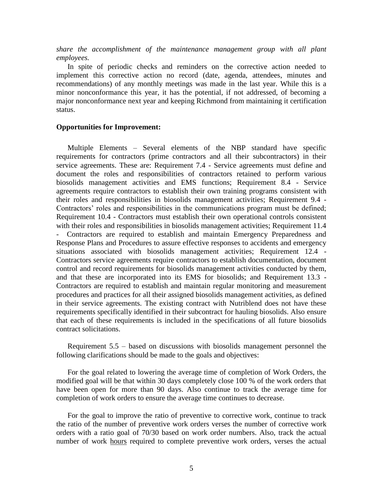*share the accomplishment of the maintenance management group with all plant employees.* 

In spite of periodic checks and reminders on the corrective action needed to implement this corrective action no record (date, agenda, attendees, minutes and recommendations) of any monthly meetings was made in the last year. While this is a minor nonconformance this year, it has the potential, if not addressed, of becoming a major nonconformance next year and keeping Richmond from maintaining it certification status.

### **Opportunities for Improvement:**

Multiple Elements – Several elements of the NBP standard have specific requirements for contractors (prime contractors and all their subcontractors) in their service agreements. These are: Requirement 7.4 - Service agreements must define and document the roles and responsibilities of contractors retained to perform various biosolids management activities and EMS functions; Requirement 8.4 - Service agreements require contractors to establish their own training programs consistent with their roles and responsibilities in biosolids management activities; Requirement 9.4 - Contractors' roles and responsibilities in the communications program must be defined; Requirement 10.4 - Contractors must establish their own operational controls consistent with their roles and responsibilities in biosolids management activities; Requirement 11.4 - Contractors are required to establish and maintain Emergency Preparedness and Response Plans and Procedures to assure effective responses to accidents and emergency situations associated with biosolids management activities; Requirement 12.4 - Contractors service agreements require contractors to establish documentation, document control and record requirements for biosolids management activities conducted by them, and that these are incorporated into its EMS for biosolids; and Requirement 13.3 - Contractors are required to establish and maintain regular monitoring and measurement procedures and practices for all their assigned biosolids management activities, as defined in their service agreements. The existing contract with Nutriblend does not have these requirements specifically identified in their subcontract for hauling biosolids. Also ensure that each of these requirements is included in the specifications of all future biosolids contract solicitations.

Requirement 5.5 – based on discussions with biosolids management personnel the following clarifications should be made to the goals and objectives:

For the goal related to lowering the average time of completion of Work Orders, the modified goal will be that within 30 days completely close 100 % of the work orders that have been open for more than 90 days. Also continue to track the average time for completion of work orders to ensure the average time continues to decrease.

For the goal to improve the ratio of preventive to corrective work, continue to track the ratio of the number of preventive work orders verses the number of corrective work orders with a ratio goal of 70/30 based on work order numbers. Also, track the actual number of work hours required to complete preventive work orders, verses the actual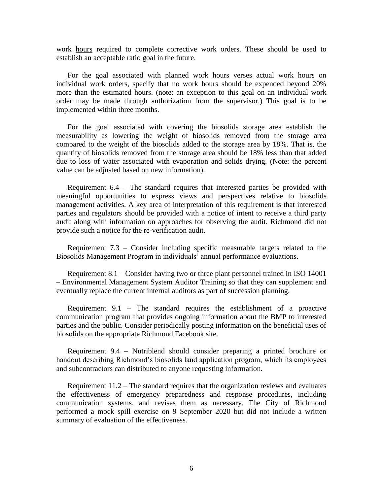work hours required to complete corrective work orders. These should be used to establish an acceptable ratio goal in the future.

For the goal associated with planned work hours verses actual work hours on individual work orders, specify that no work hours should be expended beyond 20% more than the estimated hours. (note: an exception to this goal on an individual work order may be made through authorization from the supervisor.) This goal is to be implemented within three months.

For the goal associated with covering the biosolids storage area establish the measurability as lowering the weight of biosolids removed from the storage area compared to the weight of the biosolids added to the storage area by 18%. That is, the quantity of biosolids removed from the storage area should be 18% less than that added due to loss of water associated with evaporation and solids drying. (Note: the percent value can be adjusted based on new information).

Requirement 6.4 – The standard requires that interested parties be provided with meaningful opportunities to express views and perspectives relative to biosolids management activities. A key area of interpretation of this requirement is that interested parties and regulators should be provided with a notice of intent to receive a third party audit along with information on approaches for observing the audit. Richmond did not provide such a notice for the re-verification audit.

Requirement 7.3 – Consider including specific measurable targets related to the Biosolids Management Program in individuals' annual performance evaluations.

Requirement 8.1 – Consider having two or three plant personnel trained in ISO 14001 – Environmental Management System Auditor Training so that they can supplement and eventually replace the current internal auditors as part of succession planning.

Requirement 9.1 – The standard requires the establishment of a proactive communication program that provides ongoing information about the BMP to interested parties and the public. Consider periodically posting information on the beneficial uses of biosolids on the appropriate Richmond Facebook site.

Requirement 9.4 – Nutriblend should consider preparing a printed brochure or handout describing Richmond's biosolids land application program, which its employees and subcontractors can distributed to anyone requesting information.

Requirement  $11.2$  – The standard requires that the organization reviews and evaluates the effectiveness of emergency preparedness and response procedures, including communication systems, and revises them as necessary. The City of Richmond performed a mock spill exercise on 9 September 2020 but did not include a written summary of evaluation of the effectiveness.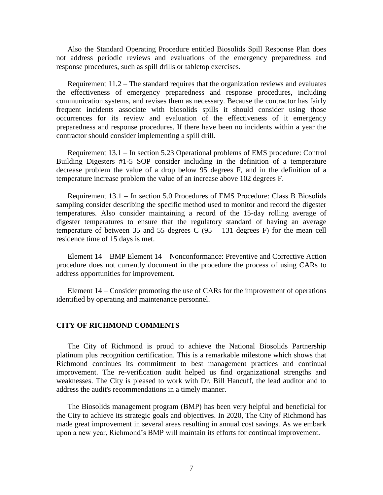Also the Standard Operating Procedure entitled Biosolids Spill Response Plan does not address periodic reviews and evaluations of the emergency preparedness and response procedures, such as spill drills or tabletop exercises.

Requirement  $11.2$  – The standard requires that the organization reviews and evaluates the effectiveness of emergency preparedness and response procedures, including communication systems, and revises them as necessary. Because the contractor has fairly frequent incidents associate with biosolids spills it should consider using those occurrences for its review and evaluation of the effectiveness of it emergency preparedness and response procedures. If there have been no incidents within a year the contractor should consider implementing a spill drill.

Requirement 13.1 – In section 5.23 Operational problems of EMS procedure: Control Building Digesters #1-5 SOP consider including in the definition of a temperature decrease problem the value of a drop below 95 degrees F, and in the definition of a temperature increase problem the value of an increase above 102 degrees F.

Requirement 13.1 – In section 5.0 Procedures of EMS Procedure: Class B Biosolids sampling consider describing the specific method used to monitor and record the digester temperatures. Also consider maintaining a record of the 15-day rolling average of digester temperatures to ensure that the regulatory standard of having an average temperature of between 35 and 55 degrees  $C (95 - 131)$  degrees F) for the mean cell residence time of 15 days is met.

Element 14 – BMP Element 14 – Nonconformance: Preventive and Corrective Action procedure does not currently document in the procedure the process of using CARs to address opportunities for improvement.

Element 14 – Consider promoting the use of CARs for the improvement of operations identified by operating and maintenance personnel.

### **CITY OF RICHMOND COMMENTS**

The City of Richmond is proud to achieve the National Biosolids Partnership platinum plus recognition certification. This is a remarkable milestone which shows that Richmond continues its commitment to best management practices and continual improvement. The re-verification audit helped us find organizational strengths and weaknesses. The City is pleased to work with Dr. Bill Hancuff, the lead auditor and to address the audit's recommendations in a timely manner.

The Biosolids management program (BMP) has been very helpful and beneficial for the City to achieve its strategic goals and objectives. In 2020, The City of Richmond has made great improvement in several areas resulting in annual cost savings. As we embark upon a new year, Richmond's BMP will maintain its efforts for continual improvement.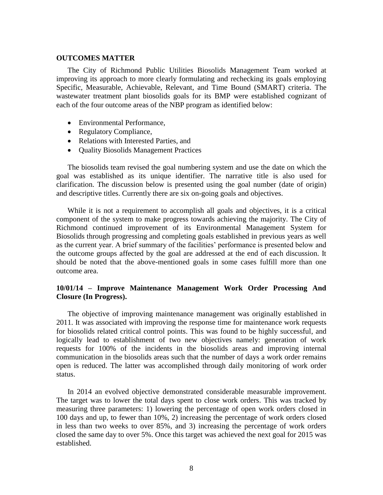#### **OUTCOMES MATTER**

The City of Richmond Public Utilities Biosolids Management Team worked at improving its approach to more clearly formulating and rechecking its goals employing Specific, Measurable, Achievable, Relevant, and Time Bound (SMART) criteria. The wastewater treatment plant biosolids goals for its BMP were established cognizant of each of the four outcome areas of the NBP program as identified below:

- Environmental Performance,
- Regulatory Compliance,
- Relations with Interested Parties, and
- Ouality Biosolids Management Practices

The biosolids team revised the goal numbering system and use the date on which the goal was established as its unique identifier. The narrative title is also used for clarification. The discussion below is presented using the goal number (date of origin) and descriptive titles. Currently there are six on-going goals and objectives.

While it is not a requirement to accomplish all goals and objectives, it is a critical component of the system to make progress towards achieving the majority. The City of Richmond continued improvement of its Environmental Management System for Biosolids through progressing and completing goals established in previous years as well as the current year. A brief summary of the facilities' performance is presented below and the outcome groups affected by the goal are addressed at the end of each discussion. It should be noted that the above-mentioned goals in some cases fulfill more than one outcome area.

# **10/01/14 – Improve Maintenance Management Work Order Processing And Closure (In Progress).**

The objective of improving maintenance management was originally established in 2011. It was associated with improving the response time for maintenance work requests for biosolids related critical control points. This was found to be highly successful, and logically lead to establishment of two new objectives namely: generation of work requests for 100% of the incidents in the biosolids areas and improving internal communication in the biosolids areas such that the number of days a work order remains open is reduced. The latter was accomplished through daily monitoring of work order status.

In 2014 an evolved objective demonstrated considerable measurable improvement. The target was to lower the total days spent to close work orders. This was tracked by measuring three parameters: 1) lowering the percentage of open work orders closed in 100 days and up, to fewer than 10%, 2) increasing the percentage of work orders closed in less than two weeks to over 85%, and 3) increasing the percentage of work orders closed the same day to over 5%. Once this target was achieved the next goal for 2015 was established.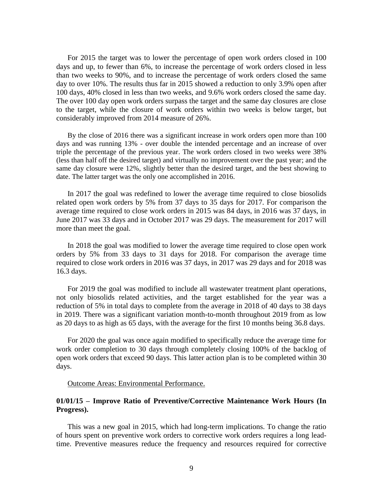For 2015 the target was to lower the percentage of open work orders closed in 100 days and up, to fewer than 6%, to increase the percentage of work orders closed in less than two weeks to 90%, and to increase the percentage of work orders closed the same day to over 10%. The results thus far in 2015 showed a reduction to only 3.9% open after 100 days, 40% closed in less than two weeks, and 9.6% work orders closed the same day. The over 100 day open work orders surpass the target and the same day closures are close to the target, while the closure of work orders within two weeks is below target, but considerably improved from 2014 measure of 26%.

By the close of 2016 there was a significant increase in work orders open more than 100 days and was running 13% - over double the intended percentage and an increase of over triple the percentage of the previous year. The work orders closed in two weeks were 38% (less than half off the desired target) and virtually no improvement over the past year; and the same day closure were 12%, slightly better than the desired target, and the best showing to date. The latter target was the only one accomplished in 2016.

In 2017 the goal was redefined to lower the average time required to close biosolids related open work orders by 5% from 37 days to 35 days for 2017. For comparison the average time required to close work orders in 2015 was 84 days, in 2016 was 37 days, in June 2017 was 33 days and in October 2017 was 29 days. The measurement for 2017 will more than meet the goal.

In 2018 the goal was modified to lower the average time required to close open work orders by 5% from 33 days to 31 days for 2018. For comparison the average time required to close work orders in 2016 was 37 days, in 2017 was 29 days and for 2018 was 16.3 days.

For 2019 the goal was modified to include all wastewater treatment plant operations, not only biosolids related activities, and the target established for the year was a reduction of 5% in total days to complete from the average in 2018 of 40 days to 38 days in 2019. There was a significant variation month-to-month throughout 2019 from as low as 20 days to as high as 65 days, with the average for the first 10 months being 36.8 days.

For 2020 the goal was once again modified to specifically reduce the average time for work order completion to 30 days through completely closing 100% of the backlog of open work orders that exceed 90 days. This latter action plan is to be completed within 30 days.

#### Outcome Areas: Environmental Performance.

### **01/01/15 – Improve Ratio of Preventive/Corrective Maintenance Work Hours (In Progress).**

This was a new goal in 2015, which had long-term implications. To change the ratio of hours spent on preventive work orders to corrective work orders requires a long leadtime. Preventive measures reduce the frequency and resources required for corrective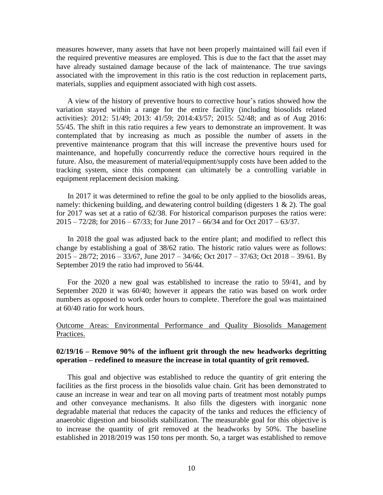measures however, many assets that have not been properly maintained will fail even if the required preventive measures are employed. This is due to the fact that the asset may have already sustained damage because of the lack of maintenance. The true savings associated with the improvement in this ratio is the cost reduction in replacement parts, materials, supplies and equipment associated with high cost assets.

A view of the history of preventive hours to corrective hour's ratios showed how the variation stayed within a range for the entire facility (including biosolids related activities): 2012: 51/49; 2013: 41/59; 2014:43/57; 2015: 52/48; and as of Aug 2016: 55/45. The shift in this ratio requires a few years to demonstrate an improvement. It was contemplated that by increasing as much as possible the number of assets in the preventive maintenance program that this will increase the preventive hours used for maintenance, and hopefully concurrently reduce the corrective hours required in the future. Also, the measurement of material/equipment/supply costs have been added to the tracking system, since this component can ultimately be a controlling variable in equipment replacement decision making.

In 2017 it was determined to refine the goal to be only applied to the biosolids areas, namely: thickening building, and dewatering control building (digesters 1 & 2). The goal for 2017 was set at a ratio of 62/38. For historical comparison purposes the ratios were: 2015 – 72/28; for 2016 – 67/33; for June 2017 – 66/34 and for Oct 2017 – 63/37.

In 2018 the goal was adjusted back to the entire plant; and modified to reflect this change by establishing a goal of 38/62 ratio. The historic ratio values were as follows: 2015 – 28/72; 2016 – 33/67, June 2017 – 34/66; Oct 2017 – 37/63; Oct 2018 – 39/61. By September 2019 the ratio had improved to 56/44.

For the 2020 a new goal was established to increase the ratio to 59/41, and by September 2020 it was 60/40; however it appears the ratio was based on work order numbers as opposed to work order hours to complete. Therefore the goal was maintained at 60/40 ratio for work hours.

# Outcome Areas: Environmental Performance and Quality Biosolids Management Practices.

### **02/19/16 – Remove 90% of the influent grit through the new headworks degritting operation – redefined to measure the increase in total quantity of grit removed.**

This goal and objective was established to reduce the quantity of grit entering the facilities as the first process in the biosolids value chain. Grit has been demonstrated to cause an increase in wear and tear on all moving parts of treatment most notably pumps and other conveyance mechanisms. It also fills the digesters with inorganic none degradable material that reduces the capacity of the tanks and reduces the efficiency of anaerobic digestion and biosolids stabilization. The measurable goal for this objective is to increase the quantity of grit removed at the headworks by 50%. The baseline established in 2018/2019 was 150 tons per month. So, a target was established to remove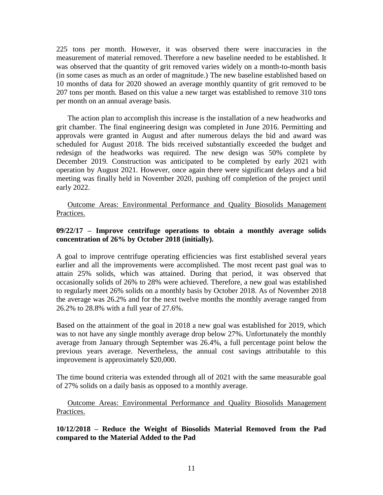225 tons per month. However, it was observed there were inaccuracies in the measurement of material removed. Therefore a new baseline needed to be established. It was observed that the quantity of grit removed varies widely on a month-to-month basis (in some cases as much as an order of magnitude.) The new baseline established based on 10 months of data for 2020 showed an average monthly quantity of grit removed to be 207 tons per month. Based on this value a new target was established to remove 310 tons per month on an annual average basis.

The action plan to accomplish this increase is the installation of a new headworks and grit chamber. The final engineering design was completed in June 2016. Permitting and approvals were granted in August and after numerous delays the bid and award was scheduled for August 2018. The bids received substantially exceeded the budget and redesign of the headworks was required. The new design was 50% complete by December 2019. Construction was anticipated to be completed by early 2021 with operation by August 2021. However, once again there were significant delays and a bid meeting was finally held in November 2020, pushing off completion of the project until early 2022.

Outcome Areas: Environmental Performance and Quality Biosolids Management Practices.

# **09/22/17 – Improve centrifuge operations to obtain a monthly average solids concentration of 26% by October 2018 (initially).**

A goal to improve centrifuge operating efficiencies was first established several years earlier and all the improvements were accomplished. The most recent past goal was to attain 25% solids, which was attained. During that period, it was observed that occasionally solids of 26% to 28% were achieved. Therefore, a new goal was established to regularly meet 26% solids on a monthly basis by October 2018. As of November 2018 the average was 26.2% and for the next twelve months the monthly average ranged from 26.2% to 28.8% with a full year of 27.6%.

Based on the attainment of the goal in 2018 a new goal was established for 2019, which was to not have any single monthly average drop below 27%. Unfortunately the monthly average from January through September was 26.4%, a full percentage point below the previous years average. Nevertheless, the annual cost savings attributable to this improvement is approximately \$20,000.

The time bound criteria was extended through all of 2021 with the same measurable goal of 27% solids on a daily basis as opposed to a monthly average.

Outcome Areas: Environmental Performance and Quality Biosolids Management Practices.

**10/12/2018 – Reduce the Weight of Biosolids Material Removed from the Pad compared to the Material Added to the Pad**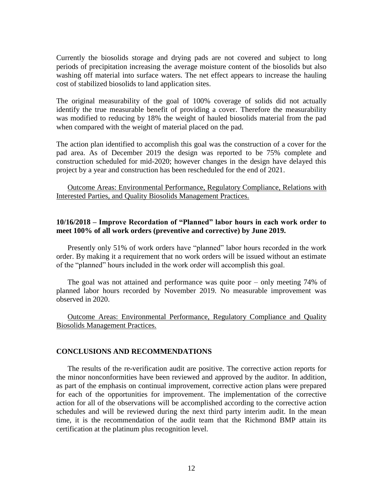Currently the biosolids storage and drying pads are not covered and subject to long periods of precipitation increasing the average moisture content of the biosolids but also washing off material into surface waters. The net effect appears to increase the hauling cost of stabilized biosolids to land application sites.

The original measurability of the goal of 100% coverage of solids did not actually identify the true measurable benefit of providing a cover. Therefore the measurability was modified to reducing by 18% the weight of hauled biosolids material from the pad when compared with the weight of material placed on the pad.

The action plan identified to accomplish this goal was the construction of a cover for the pad area. As of December 2019 the design was reported to be 75% complete and construction scheduled for mid-2020; however changes in the design have delayed this project by a year and construction has been rescheduled for the end of 2021.

Outcome Areas: Environmental Performance, Regulatory Compliance, Relations with Interested Parties, and Quality Biosolids Management Practices.

### **10/16/2018 – Improve Recordation of "Planned" labor hours in each work order to meet 100% of all work orders (preventive and corrective) by June 2019.**

Presently only 51% of work orders have "planned" labor hours recorded in the work order. By making it a requirement that no work orders will be issued without an estimate of the "planned" hours included in the work order will accomplish this goal.

The goal was not attained and performance was quite poor – only meeting 74% of planned labor hours recorded by November 2019. No measurable improvement was observed in 2020.

Outcome Areas: Environmental Performance, Regulatory Compliance and Quality Biosolids Management Practices.

#### **CONCLUSIONS AND RECOMMENDATIONS**

The results of the re-verification audit are positive. The corrective action reports for the minor nonconformities have been reviewed and approved by the auditor. In addition, as part of the emphasis on continual improvement, corrective action plans were prepared for each of the opportunities for improvement. The implementation of the corrective action for all of the observations will be accomplished according to the corrective action schedules and will be reviewed during the next third party interim audit. In the mean time, it is the recommendation of the audit team that the Richmond BMP attain its certification at the platinum plus recognition level.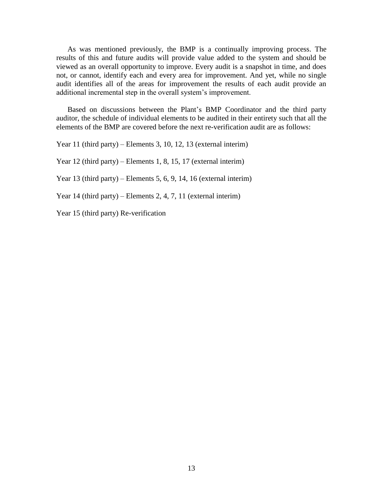As was mentioned previously, the BMP is a continually improving process. The results of this and future audits will provide value added to the system and should be viewed as an overall opportunity to improve. Every audit is a snapshot in time, and does not, or cannot, identify each and every area for improvement. And yet, while no single audit identifies all of the areas for improvement the results of each audit provide an additional incremental step in the overall system's improvement.

Based on discussions between the Plant's BMP Coordinator and the third party auditor, the schedule of individual elements to be audited in their entirety such that all the elements of the BMP are covered before the next re-verification audit are as follows:

Year 11 (third party) – Elements 3, 10, 12, 13 (external interim)

Year 12 (third party) – Elements 1, 8, 15, 17 (external interim)

Year 13 (third party) – Elements 5, 6, 9, 14, 16 (external interim)

Year 14 (third party) – Elements 2, 4, 7, 11 (external interim)

Year 15 (third party) Re-verification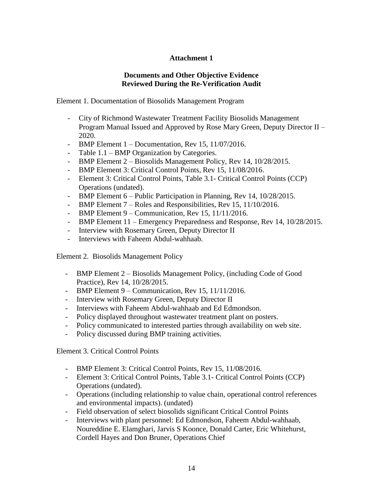# **Attachment 1**

# **Documents and Other Objective Evidence Reviewed During the Re-Verification Audit**

Element 1. Documentation of Biosolids Management Program

- City of Richmond Wastewater Treatment Facility Biosolids Management Program Manual Issued and Approved by Rose Mary Green, Deputy Director II – 2020.
- BMP Element 1 Documentation, Rev 15, 11/07/2016.
- Table 1.1 BMP Organization by Categories.
- BMP Element 2 Biosolids Management Policy, Rev 14, 10/28/2015.
- BMP Element 3: Critical Control Points, Rev 15, 11/08/2016.
- Element 3: Critical Control Points, Table 3.1- Critical Control Points (CCP) Operations (undated).
- BMP Element 6 Public Participation in Planning, Rev 14, 10/28/2015.
- BMP Element 7 Roles and Responsibilities, Rev 15, 11/10/2016.
- BMP Element 9 Communication, Rev 15, 11/11/2016.
- BMP Element 11 Emergency Preparedness and Response, Rev 14, 10/28/2015.
- Interview with Rosemary Green, Deputy Director II
- Interviews with Faheem Abdul-wahhaab.

Element 2. Biosolids Management Policy

- BMP Element 2 Biosolids Management Policy, (including Code of Good Practice), Rev 14, 10/28/2015.
- BMP Element 9 Communication, Rev 15, 11/11/2016.
- Interview with Rosemary Green, Deputy Director II
- Interviews with Faheem Abdul-wahhaab and Ed Edmondson.
- Policy displayed throughout wastewater treatment plant on posters.
- Policy communicated to interested parties through availability on web site.
- Policy discussed during BMP training activities.

Element 3. Critical Control Points

- BMP Element 3: Critical Control Points, Rev 15, 11/08/2016.
- Element 3: Critical Control Points, Table 3.1- Critical Control Points (CCP) Operations (undated).
- Operations (including relationship to value chain, operational control references and environmental impacts). (undated)
- Field observation of select biosolids significant Critical Control Points
- Interviews with plant personnel: Ed Edmondson, Faheem Abdul-wahhaab, Noureddine E. Elamghari, Jarvis S Koonce, Donald Carter, Eric Whitehurst, Cordell Hayes and Don Bruner, Operations Chief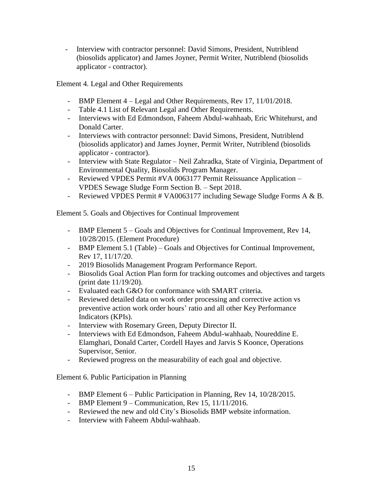- Interview with contractor personnel: David Simons, President, Nutriblend (biosolids applicator) and James Joyner, Permit Writer, Nutriblend (biosolids applicator - contractor).

Element 4. Legal and Other Requirements

- BMP Element 4 Legal and Other Requirements, Rev 17, 11/01/2018.
- Table 4.1 List of Relevant Legal and Other Requirements.
- Interviews with Ed Edmondson, Faheem Abdul-wahhaab, Eric Whitehurst, and Donald Carter.
- Interviews with contractor personnel: David Simons, President, Nutriblend (biosolids applicator) and James Joyner, Permit Writer, Nutriblend (biosolids applicator - contractor).
- Interview with State Regulator Neil Zahradka, State of Virginia, Department of Environmental Quality, Biosolids Program Manager.
- Reviewed VPDES Permit #VA 0063177 Permit Reissuance Application VPDES Sewage Sludge Form Section B. – Sept 2018.
- Reviewed VPDES Permit # VA0063177 including Sewage Sludge Forms A & B.

Element 5. Goals and Objectives for Continual Improvement

- BMP Element 5 Goals and Objectives for Continual Improvement, Rev 14, 10/28/2015. (Element Procedure)
- BMP Element 5.1 (Table) Goals and Objectives for Continual Improvement, Rev 17, 11/17/20.
- 2019 Biosolids Management Program Performance Report.
- Biosolids Goal Action Plan form for tracking outcomes and objectives and targets (print date 11/19/20).
- Evaluated each G&O for conformance with SMART criteria.
- Reviewed detailed data on work order processing and corrective action vs preventive action work order hours' ratio and all other Key Performance Indicators (KPIs).
- Interview with Rosemary Green, Deputy Director II.
- Interviews with Ed Edmondson, Faheem Abdul-wahhaab, Noureddine E. Elamghari, Donald Carter, Cordell Hayes and Jarvis S Koonce, Operations Supervisor, Senior.
- Reviewed progress on the measurability of each goal and objective.

Element 6. Public Participation in Planning

- BMP Element 6 Public Participation in Planning, Rev 14, 10/28/2015.
- BMP Element 9 Communication, Rev 15, 11/11/2016.
- Reviewed the new and old City's Biosolids BMP website information.
- Interview with Faheem Abdul-wahhaab.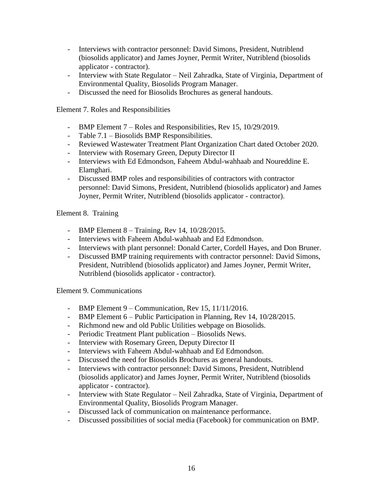- Interviews with contractor personnel: David Simons, President, Nutriblend (biosolids applicator) and James Joyner, Permit Writer, Nutriblend (biosolids applicator - contractor).
- Interview with State Regulator Neil Zahradka, State of Virginia, Department of Environmental Quality, Biosolids Program Manager.
- Discussed the need for Biosolids Brochures as general handouts.

Element 7. Roles and Responsibilities

- BMP Element 7 Roles and Responsibilities, Rev 15, 10/29/2019.
- Table 7.1 Biosolids BMP Responsibilities.
- Reviewed Wastewater Treatment Plant Organization Chart dated October 2020.
- Interview with Rosemary Green, Deputy Director II
- Interviews with Ed Edmondson, Faheem Abdul-wahhaab and Noureddine E. Elamghari.
- Discussed BMP roles and responsibilities of contractors with contractor personnel: David Simons, President, Nutriblend (biosolids applicator) and James Joyner, Permit Writer, Nutriblend (biosolids applicator - contractor).

# Element 8. Training

- BMP Element 8 Training, Rev 14, 10/28/2015.
- Interviews with Faheem Abdul-wahhaab and Ed Edmondson.
- Interviews with plant personnel: Donald Carter, Cordell Hayes, and Don Bruner.
- Discussed BMP training requirements with contractor personnel: David Simons, President, Nutriblend (biosolids applicator) and James Joyner, Permit Writer, Nutriblend (biosolids applicator - contractor).

Element 9. Communications

- BMP Element 9 Communication, Rev 15, 11/11/2016.
- BMP Element 6 Public Participation in Planning, Rev 14, 10/28/2015.
- Richmond new and old Public Utilities webpage on Biosolids.
- Periodic Treatment Plant publication Biosolids News.
- Interview with Rosemary Green, Deputy Director II
- Interviews with Faheem Abdul-wahhaab and Ed Edmondson.
- Discussed the need for Biosolids Brochures as general handouts.
- Interviews with contractor personnel: David Simons, President, Nutriblend (biosolids applicator) and James Joyner, Permit Writer, Nutriblend (biosolids applicator - contractor).
- Interview with State Regulator Neil Zahradka, State of Virginia, Department of Environmental Quality, Biosolids Program Manager.
- Discussed lack of communication on maintenance performance.
- Discussed possibilities of social media (Facebook) for communication on BMP.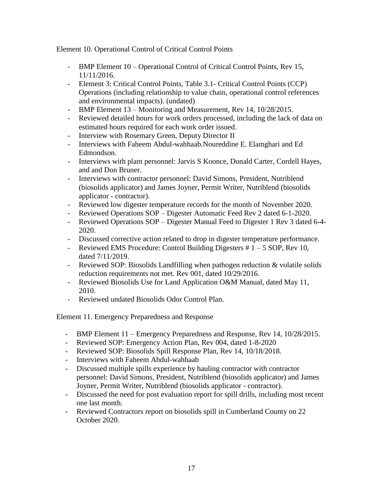Element 10. Operational Control of Critical Control Points

- BMP Element 10 Operational Control of Critical Control Points, Rev 15, 11/11/2016.
- Element 3: Critical Control Points, Table 3.1- Critical Control Points (CCP) Operations (including relationship to value chain, operational control references and environmental impacts). (undated)
- BMP Element 13 Monitoring and Measurement, Rev 14, 10/28/2015.
- Reviewed detailed hours for work orders processed, including the lack of data on estimated hours required for each work order issued.
- Interview with Rosemary Green, Deputy Director II
- Interviews with Faheem Abdul-wahhaab.Noureddine E. Elamghari and Ed Edmondson.
- Interviews with plant personnel: Jarvis S Koonce, Donald Carter, Cordell Hayes, and and Don Bruner.
- Interviews with contractor personnel: David Simons, President, Nutriblend (biosolids applicator) and James Joyner, Permit Writer, Nutriblend (biosolids applicator - contractor).
- Reviewed low digester temperature records for the month of November 2020.
- Reviewed Operations SOP Digester Automatic Feed Rev 2 dated 6-1-2020.
- Reviewed Operations SOP Digester Manual Feed to Digester 1 Rev 3 dated 6-4- 2020.
- Discussed corrective action related to drop in digester temperature performance.
- Reviewed EMS Procedure: Control Building Digesters  $# 1 5$  SOP, Rev 10, dated 7/11/2019.
- Reviewed SOP: Biosolids Landfilling when pathogen reduction & volatile solids reduction requirements not met. Rev 001, dated 10/29/2016.
- Reviewed Biosolids Use for Land Application O&M Manual, dated May 11, 2010.
- Reviewed undated Biosolids Odor Control Plan.

Element 11. Emergency Preparedness and Response

- BMP Element 11 Emergency Preparedness and Response, Rev 14, 10/28/2015.
- Reviewed SOP: Emergency Action Plan, Rev 004, dated 1-8-2020
- Reviewed SOP: Biosolids Spill Response Plan, Rev 14, 10/18/2018.
- Interviews with Faheem Abdul-wahhaab
- Discussed multiple spills experience by hauling contractor with contractor personnel: David Simons, President, Nutriblend (biosolids applicator) and James Joyner, Permit Writer, Nutriblend (biosolids applicator - contractor).
- Discussed the need for post evaluation report for spill drills, including most recent one last month.
- Reviewed Contractors report on biosolids spill in Cumberland County on 22 October 2020.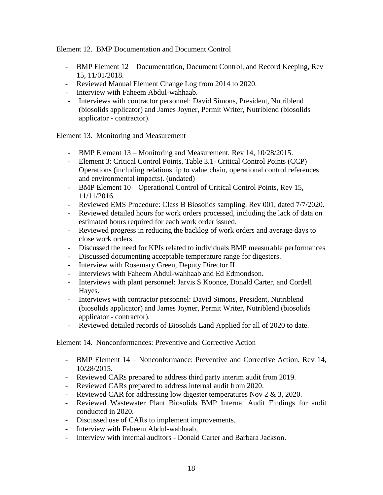Element 12. BMP Documentation and Document Control

- BMP Element 12 Documentation, Document Control, and Record Keeping, Rev 15, 11/01/2018.
- Reviewed Manual Element Change Log from 2014 to 2020.
- Interview with Faheem Abdul-wahhaab.
- Interviews with contractor personnel: David Simons, President, Nutriblend (biosolids applicator) and James Joyner, Permit Writer, Nutriblend (biosolids applicator - contractor).

Element 13. Monitoring and Measurement

- BMP Element 13 Monitoring and Measurement, Rev 14, 10/28/2015.
- Element 3: Critical Control Points, Table 3.1- Critical Control Points (CCP) Operations (including relationship to value chain, operational control references and environmental impacts). (undated)
- BMP Element 10 Operational Control of Critical Control Points, Rev 15, 11/11/2016.
- Reviewed EMS Procedure: Class B Biosolids sampling. Rev 001, dated 7/7/2020.
- Reviewed detailed hours for work orders processed, including the lack of data on estimated hours required for each work order issued.
- Reviewed progress in reducing the backlog of work orders and average days to close work orders.
- Discussed the need for KPIs related to individuals BMP measurable performances
- Discussed documenting acceptable temperature range for digesters.
- Interview with Rosemary Green, Deputy Director II
- Interviews with Faheem Abdul-wahhaab and Ed Edmondson.
- Interviews with plant personnel: Jarvis S Koonce, Donald Carter, and Cordell Hayes.
- Interviews with contractor personnel: David Simons, President, Nutriblend (biosolids applicator) and James Joyner, Permit Writer, Nutriblend (biosolids applicator - contractor).
- Reviewed detailed records of Biosolids Land Applied for all of 2020 to date.

Element 14. Nonconformances: Preventive and Corrective Action

- BMP Element 14 Nonconformance: Preventive and Corrective Action, Rev 14, 10/28/2015.
- Reviewed CARs prepared to address third party interim audit from 2019.
- Reviewed CARs prepared to address internal audit from 2020.
- Reviewed CAR for addressing low digester temperatures Nov 2 & 3, 2020.
- Reviewed Wastewater Plant Biosolids BMP Internal Audit Findings for audit conducted in 2020.
- Discussed use of CARs to implement improvements.
- Interview with Faheem Abdul-wahhaab,
- Interview with internal auditors Donald Carter and Barbara Jackson.